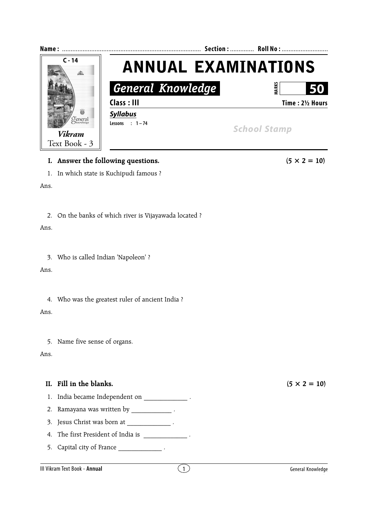

## **I.** Answer the following questions.  $(5 \times 2 = 10)$

1. In which state is Kuchipudi famous ?

Ans.

2. On the banks of which river is Vijayawada located ?

Ans.

3. Who is called Indian 'Napoleon' ?

Ans.

4. Who was the greatest ruler of ancient India ?

Ans.

5. Name five sense of organs.

Ans.

## **II.** Fill in the blanks.  $(5 \times 2 = 10)$

- 1. India became Independent on  $\qquad \qquad$ .
- 2. Ramayana was written by **Namayana** .
- 3. Jesus Christ was born at \_\_\_\_\_\_\_\_\_\_\_\_\_\_\_.
- 4. The first President of India is  $\blacksquare$ .
- 5. Capital city of France